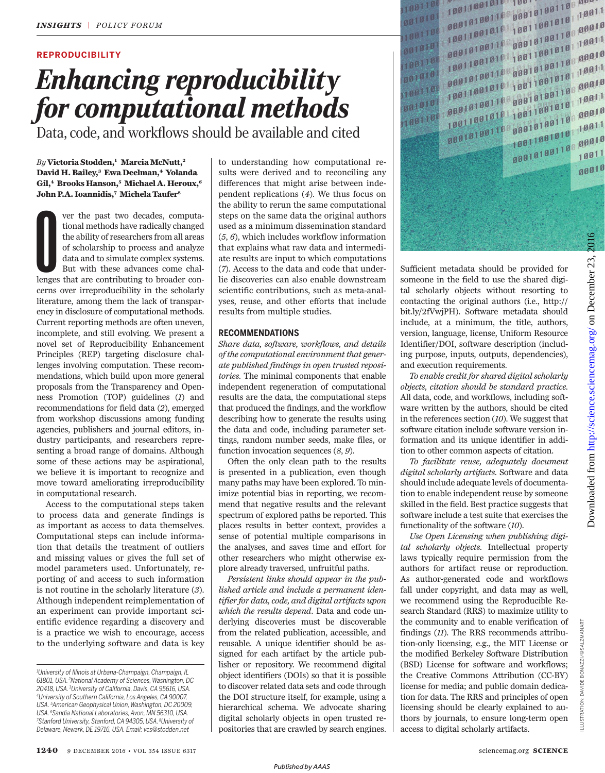# **REPRODUCIBILITY**

# *Enhancing reproducibility for computational methods*

Data, code, and workflows should be available and cited

## *By* **Victoria Stodden, <sup>1</sup> Marcia McNutt, 2 David H. Bailey, 3 Ewa Deelman, 4 Yolanda Gil, 4 Brooks Hanson, 5 Michael A. Heroux, 6 John P.A. Ioannidis, 7 Michela Taufer 8**

Four the past two decades, computational methods have radically changed<br>the ability of researchers from all areas<br>of scholarship to process and analyze<br>data and to simulate complex systems.<br>But with these advances come cha ver the past two decades, computational methods have radically changed the ability of researchers from all areas of scholarship to process and analyze data and to simulate complex systems. But with these advances come chalcerns over irreproducibility in the scholarly literature, among them the lack of transparency in disclosure of computational methods. Current reporting methods are often uneven, incomplete, and still evolving. We present a novel set of Reproducibility Enhancement Principles (REP) targeting disclosure challenges involving computation. These recommendations, which build upon more general proposals from the Transparency and Openness Promotion (TOP) guidelines (*1*) and recommendations for field data (*2*), emerged from workshop discussions among funding agencies, publishers and journal editors, industry participants, and researchers representing a broad range of domains. Although some of these actions may be aspirational, we believe it is important to recognize and move toward ameliorating irreproducibility in computational research.

Access to the computational steps taken to process data and generate findings is as important as access to data themselves. Computational steps can include information that details the treatment of outliers and missing values or gives the full set of model parameters used. Unfortunately, reporting of and access to such information is not routine in the scholarly literature (*3*). Although independent reimplementation of an experiment can provide important scientific evidence regarding a discovery and is a practice we wish to encourage, access to the underlying software and data is key

to understanding how computational results were derived and to reconciling any differences that might arise between independent replications (*4*). We thus focus on the ability to rerun the same computational steps on the same data the original authors used as a minimum dissemination standard (*5*, *6*), which includes workflow information that explains what raw data and intermediate results are input to which computations (*7*). Access to the data and code that underlie discoveries can also enable downstream scientific contributions, such as meta-analyses, reuse, and other efforts that include results from multiple studies.

## **RECOMMENDATIONS**

*Share data, software, workflows, and details of the computational environment that generate published findings in open trusted repositories.* The minimal components that enable independent regeneration of computational results are the data, the computational steps that produced the findings, and the workflow describing how to generate the results using the data and code, including parameter settings, random number seeds, make files, or function invocation sequences (*8*, *9*).

Often the only clean path to the results is presented in a publication, even though many paths may have been explored. To minimize potential bias in reporting, we recommend that negative results and the relevant spectrum of explored paths be reported. This places results in better context, provides a sense of potential multiple comparisons in the analyses, and saves time and effort for other researchers who might otherwise explore already traversed, unfruitful paths.

*Persistent links should appear in the published article and include a permanent identifier for data, code, and digital artifacts upon which the results depend.* Data and code underlying discoveries must be discoverable from the related publication, accessible, and reusable. A unique identifier should be assigned for each artifact by the article publisher or repository. We recommend digital object identifiers (DOIs) so that it is possible to discover related data sets and code through the DOI structure itself, for example, using a hierarchical schema. We advocate sharing digital scholarly objects in open trusted repositories that are crawled by search engines.



Sufficient metadata should be provided for someone in the field to use the shared digital scholarly objects without resorting to contacting the original authors (i.e., http:// bit.ly/2fVwjPH). Software metadata should include, at a minimum, the title, authors, version, language, license, Uniform Resource Identifier/DOI, software description (including purpose, inputs, outputs, dependencies), and execution requirements.

*To enable credit for shared digital scholarly objects, citation should be standard practice.* All data, code, and workflows, including software written by the authors, should be cited in the references section (*10*). We suggest that software citation include software version information and its unique identifier in addition to other common aspects of citation.

*To facilitate reuse, adequately document digital scholarly artifacts.* Software and data should include adequate levels of documentation to enable independent reuse by someone skilled in the field. Best practice suggests that software include a test suite that exercises the functionality of the software (*10*).

*Use Open Licensing when publishing digital scholarly objects.* Intellectual property laws typically require permission from the authors for artifact reuse or reproduction. As author-generated code and workflows fall under copyright, and data may as well, we recommend using the Reproducible Research Standard (RRS) to maximize utility to the community and to enable verification of findings (*11*). The RRS recommends attribution-only licensing, e.g., the MIT License or the modified Berkeley Software Distribution (BSD) License for software and workflows; the Creative Commons Attribution (CC-BY) license for media; and public domain dedication for data. The RRS and principles of open licensing should be clearly explained to authors by journals, to ensure long-term open access to digital scholarly artifacts.

*<sup>1</sup>University of Illinois at Urbana-Champaign, Champaign, IL 61801, USA. <sup>2</sup>National Academy of Sciences,Washington, DC 20418, USA. <sup>3</sup>University of California, Davis, CA 95616, USA. <sup>4</sup>University of Southern California, Los Angeles, CA 90007, USA. <sup>5</sup>American Geophysical Union,Washington, DC 20009, USA. <sup>6</sup>Sandia National Laboratories,Avon, MN 56310, USA. <sup>7</sup>Stanford University, Stanford, CA 94305, USA. <sup>8</sup>University of Delaware, Newark, DE 19716, USA. Email: vcs@stodden.net*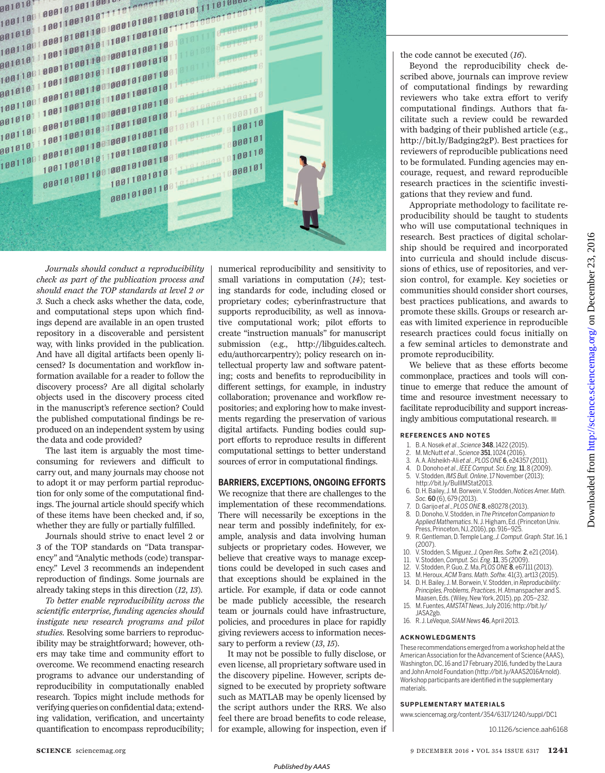

*Journals should conduct a reproducibility check as part of the publication process and should enact the TOP standards at level 2 or 3.* Such a check asks whether the data, code, and computational steps upon which findings depend are available in an open trusted repository in a discoverable and persistent way, with links provided in the publication. And have all digital artifacts been openly licensed? Is documentation and workflow information available for a reader to follow the discovery process? Are all digital scholarly objects used in the discovery process cited in the manuscript's reference section? Could the published computational findings be reproduced on an independent system by using the data and code provided?

The last item is arguably the most timeconsuming for reviewers and difficult to carry out, and many journals may choose not to adopt it or may perform partial reproduction for only some of the computational findings. The journal article should specify which of these items have been checked and, if so, whether they are fully or partially fulfilled.

Journals should strive to enact level 2 or 3 of the TOP standards on "Data transparency" and "Analytic methods (code) transparency." Level 3 recommends an independent reproduction of findings. Some journals are already taking steps in this direction (*12*, *13*).

*To better enable reproducibility across the scientific enterprise, funding agencies should instigate new research programs and pilot studies.* Resolving some barriers to reproducibility may be straightforward; however, others may take time and community effort to overcome. We recommend enacting research programs to advance our understanding of reproducibility in computationally enabled research. Topics might include methods for verifying queries on confidential data; extending validation, verification, and uncertainty quantification to encompass reproducibility; numerical reproducibility and sensitivity to small variations in computation (*14*); testing standards for code, including closed or proprietary codes; cyberinfrastructure that supports reproducibility, as well as innovative computational work; pilot efforts to create "instruction manuals" for manuscript submission (e.g., http://libguides.caltech. edu/authorcarpentry); policy research on intellectual property law and software patenting; costs and benefits to reproducibility in different settings, for example, in industry collaboration; provenance and workflow repositories; and exploring how to make investments regarding the preservation of various digital artifacts. Funding bodies could support efforts to reproduce results in different computational settings to better understand sources of error in computational findings.

## **BARRIERS, EXCEPTIONS, ONGOING EFFORTS**

We recognize that there are challenges to the implementation of these recommendations. There will necessarily be exceptions in the near term and possibly indefinitely, for example, analysis and data involving human subjects or proprietary codes. However, we believe that creative ways to manage exceptions could be developed in such cases and that exceptions should be explained in the article. For example, if data or code cannot be made publicly accessible, the research team or journals could have infrastructure, policies, and procedures in place for rapidly giving reviewers access to information necessary to perform a review (*13*, *15*).

It may not be possible to fully disclose, or even license, all proprietary software used in the discovery pipeline. However, scripts designed to be executed by propriety software such as MATLAB may be openly licensed by the script authors under the RRS. We also feel there are broad benefits to code release, for example, allowing for inspection, even if the code cannot be executed (*16*).

Beyond the reproducibility check described above, journals can improve review of computational findings by rewarding reviewers who take extra effort to verify computational findings. Authors that facilitate such a review could be rewarded with badging of their published article (e.g., http://bit.ly/Badging2gP). Best practices for reviewers of reproducible publications need to be formulated. Funding agencies may encourage, request, and reward reproducible research practices in the scientific investigations that they review and fund.

Appropriate methodology to facilitate reproducibility should be taught to students who will use computational techniques in research. Best practices of digital scholarship should be required and incorporated into curricula and should include discussions of ethics, use of repositories, and version control, for example. Key societies or communities should consider short courses, best practices publications, and awards to promote these skills. Groups or research areas with limited experience in reproducible research practices could focus initially on a few seminal articles to demonstrate and promote reproducibility.

We believe that as these efforts become commonplace, practices and tools will continue to emerge that reduce the amount of time and resource investment necessary to facilitate reproducibility and support increasingly ambitious computational research.  $\blacksquare$ 

## **REFERENCES AND NOTES**

- 1. B. A.Nosek *et al*., *Science* 348, 1422 (2015).
- 2. M. McNutt *et al*., S*cience* 351, 1024 (2016).
- 3. A. A. Alsheikh-Ali *et al*., *PLOS ONE* 6, e24357 (2011).
- 4. D. Donoho *et al*., *IEEE Comput.Sci. Eng,*11, 8 (2009).
- 5. V. Stodden,*IMS Bull.Online*,17 November (2013);
- http://bit.ly/BullIMStat2013. 6. D. H. Bailey, J. M. Borwein, V.Stodden, *Notices Amer.Math. Soc.* 60 (6), 679 (2013).
- 7. D. Garijo *et al*., *PLOS ONE* 8, e80278 (2013).
- 8. D. Donoho,V. Stodden, in *The Princeton Companion to Applied Mathematics*. N. J. Higham, Ed. (Princeton Univ. Press, Princeton, NJ, 2016), pp. 916–925.
- 9. R. Gentleman, D.Temple Lang, *J. Comput. Graph. Stat*. 16, 1 (2007).
- 10. V. Stodden,S. Miguez, *J.Open Res. Softw.* 2, e21(2014).
- 11. V. Stodden,*Comput. Sci. Eng*.11, 35 (2009).
- 12. V. Stodden, P. Guo,Z. Ma, *PLOS ONE* 8, e67111 (2013).
- 13. M. Heroux,*ACM Trans.Math.Softw.* 41(3), art13 (2015). 14. D. H. Bailey, J. M. Borwein, V.Stodden, in *Reproducibility:* Principles, Problems, Practices, H. Atmanspacher and S.
- Maasen,Eds.(Wiley,NewYork, 2015), pp. 205–232. 15. M. Fuentes,*AMSTAT News*, July 2016; http://bit.ly/ JASA2gb.
- 16. R. J. LeVeque,*SIAM News* 46, April 2013.

#### **ACKNOWLEDGMENTS**

These recommendations emerged from a workshop held at the American Association for the Advancement of Science (AAAS), Washington, DC, 16 and 17 February 2016, funded by the Laura and John Arnold Foundation (http://bit.ly/AAAS2016Arnold). Workshop participants are identified in the supplementary materials.

#### **SUPPLEMENTARY MATERIALS**

www.sciencemag.org/content/354/6317/1240/suppl/DC1

10.1126/science.aah6168